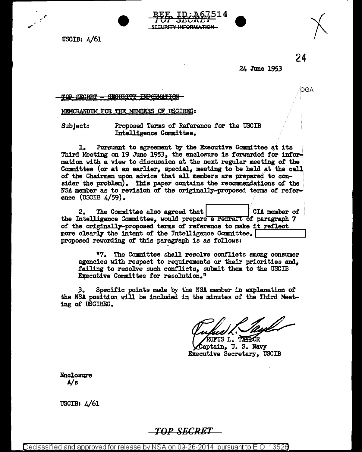



24

OGA

24 June 1953

#### TOP SEGRET - SECURITY INFORMATION

MEMORANDUM FOR THE MEMBERS OF USCIREC:

Subject: Proposed Terms of Reference for the USCIB Intelligence Committee.

1. Pursuant to agreement by the Executive Committee at its Third Meeting on 19 June 1953, the enclosure is forwarded for information with a view to discussion at the next regular meeting of the Committee (or at an earlier, special, meeting to be held at the call. of the Chairman upon advice that all members are prepared to consider the problem). This paper contains the recommendations of the NSA member as to revision of the originally-proposed terms of reference (USCIB 4/59).

Uli. !ld;Jt.2:+514 a *.I.* '\J .I. UI LI \..I .I.\. LI *.I.* - INICODMATION

2. The Committee also agreed that I CIA member of the Intelligence Committee, would prepare a redraft of paragraph 7 de intelligence committee, would prepare a redrait of paragraph ?<br>of the originally-proposed terms of reference to make it reflect more clearly the intent of the Intelligence Committee. more clearly the intent of the Intelligence Committee. <br>proposed rewording of this paragraph is as follows:

n7. The Committee shall resolve conflicts among consumer agencies with respect to requirements or their priorities and, failing to resolve such conflicts, submit them to the USCIB **Executive Committee for resolution."** 

.3. Specific points made by the NSA member in explanation *ot*  the NSA position will be included in the minutes of the Third Meeting of' USCIBEC.

RUFUS L. TAHLOR

Captain, U.S. Navy **Executive Secretary, USCIB** 

Enclosure A/s

USCIB: 4/61

## TOP SECRET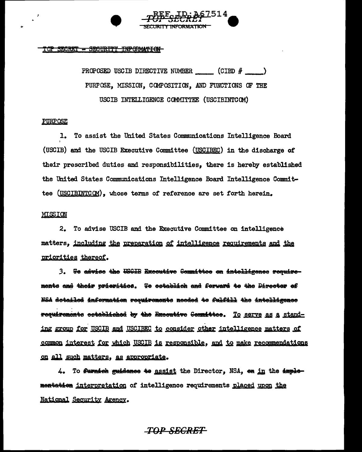

#### TOP SECRET = SECURITY INFORMATION

PROPOSED USCIB DIRECTIVE NUMBER (CIBD # 1999) PURPOSE, MISSION, COMPOSITION, AND FUNCTIONS OF THE USCIB INTELLIGENCE COMMITTEE (USCIBINTCOM)

#### **PURPOSE**

1. To assist the United States Communications Intelligence Board (USCIB) and the USCIB Executive Committee (USCIBEC) in the discharge of their prescribed duties and responsibilities, there is hereby established the United States Communications Intelligence Board Intelligence Committee (USCIBINTCOM), whose terms of reference are set forth herein.

#### MISSION

2. To advise USCIB and the Executive Committee on intelligence matters, including the preparation of intelligence requirements and the priorities thereof.

3. Te advise the USGIB Excentive Committee en intelligence requirements and their prierities. Te establich and ferward te the Director of NSA detailed information requirements needed to fulfill the intelligence requirements established by the Executive Committee. To serve as a standing group for USCIB and USCIBEC to consider other intelligence matters of common interest for which USCIB is responsible, and to make recommendations on all such matters, as appropriate.

4. To furnich guidance to assist the Director, NSA, on in the implementation interpretation of intelligence requirements placed upon the National Security Agency.

## *TOP SECRET*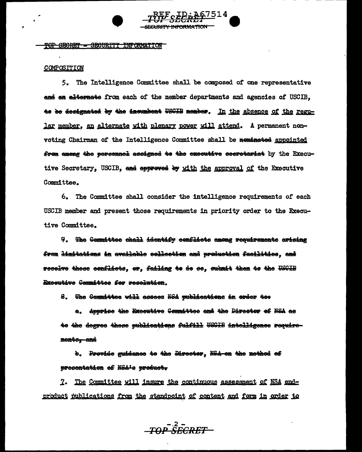TOP SECRET - SECURITY INFORMATION

### COMPOSITION

5. The Intelligence Committee shall be composed of one representative and an alternate from each of the member departments and agencies of USCIB. to be decignated by the incumbent USGIB member. In the absence of the regular member. an alternate with plenary power will attend. A permanent nonvoting Chairman of the Intelligence Committee shall be neminated appointed from among the personnel assigned to the executive secretariat by the Executive Secretary, USCIB, and approved by with the approval of the Executive Committee.

6. The Committee shall consider the intelligence requirements of each USCIB member and present those requirements in priority order to the Executive Committee.

7. The <del>Committee chall identify</del> conflicts among requirements arising from <del>limitations</del> in evailable collection and production facilities. and <del>resolve these conflicts</del>, er, fa<del>iling to</del> de se, submit them to the <del>USCIB</del> Executive Cemmittee fer resolutien.

8. The Gemmittee will assess NSA sublications in order too

a. Apprise the Executive Committee and the Director of NSA as te the degree these publications fulfill USGIB intelligence requiremente, and

b. Provide guidance te the Director, NSA-on the method of presentation of NSAle preduct.

<u>7. The Committee will insure the continuous assessment of NSA end-</u> product publications from the standpoint of content and form in order to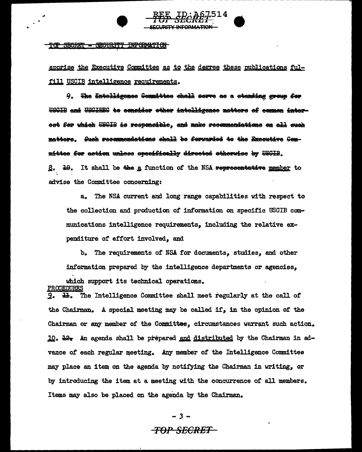#### - SECURITY INFORMATION <del>TOP SECRET</del>

apprise the Executive Committee as to the degree these publications fulfill USCIB intelligence requirements.

9. The <del>Intolligence Committee</del> shall serve as a standing group for USGIB and USGIBEG to consider ether intelligence matters of common interest fer which USGIB is responsible, and make recommendations on all such mattors. Such recommendations shall be forwarded to the Exceutive Committee fer astion unless specifically directed otherwise by USGIB.  $\underline{3}_{\circ}$   $\pm\theta_{\circ}$  It shall be  $\pm\text{he}$  a function of the NSA representative member to

advise the Committee concerning:

The NSA current and long range capabilities with respect to  $a<sub>n</sub>$ the collection and production of information on specific USCIB communications intelligence requirements, including the relative expenditure of effort involved, and

b. The requirements of NSA for documents, studies, and other information prepared by the intelligence departments or agencies, which support its technical operations. PROCEDURES

 $9. \; 2. \;$ The Intelligence Committee shall meet regularly at the call of the Chairman. A special meeting may be called if, in the opinion of the Chairman or any member of the Committee, circumstances warrant such action. 10. 12. An agenda shall be prepared and distributed by the Chairman in advance of each regular meeting. Any member of the Intelligence Committee may place an item on the agenda by notifying the Chairman in writing, or by introducing the item at a meeting with the concurrence of all members. Items may also be placed on the agenda by the Chairman.

# **TOP SECRET**